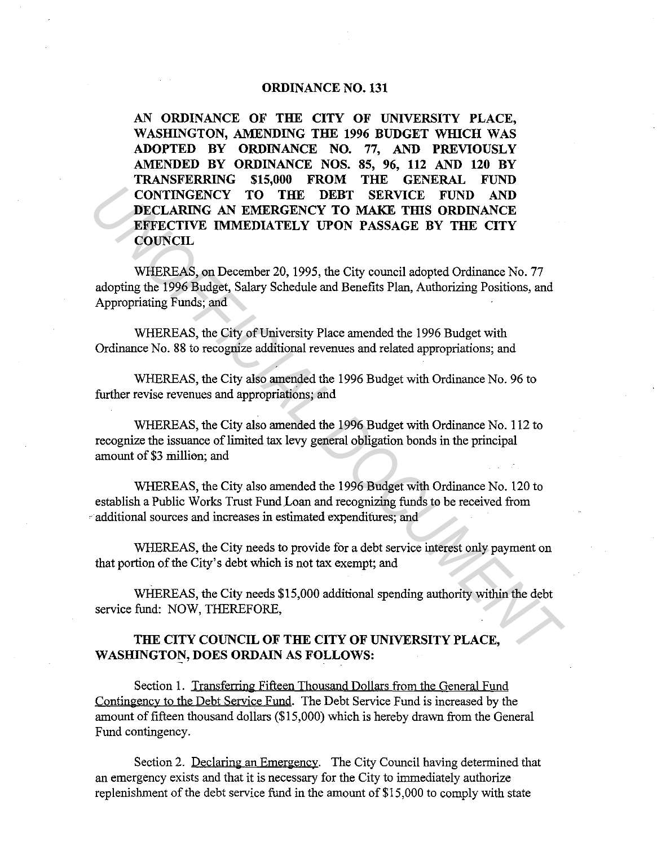## **ORDINANCE NO. 131**

**AN ORDINANCE OF THE CITY OF UNIVERSITY PLACE,**  WASHINGTON, AMENDING THE 1996 BUDGET WHICH WAS **ADOPTED BY ORDINANCE NO. 77, AND PREVIOUSLY AMENDED BY ORDINANCE NOS. 85, 96, 112 AND 120 BY TRANSFERRING \$15,000 FROM THE GENERAL FUND CONTINGENCY TO THE DEBT SERVICE FUND AND DECLARING AN EMERGENCY TO MAKE THIS ORDINANCE EFFECTIVE IMMEDIATELY UPON PASSAGE BY THE CITY COUNCIL CONTINGENCY TO THE DEET SERVICE FUND AND DECLARING ON EMERGENCY TO MAKE THIS ORDINANCE.**<br> **UNDERCY AND EMERGENCY TO MAKE THIS ORDINANCE.**<br> **UNDERCY COUNCIL**<br> **UNDERCY COUNCIL**<br> **WHEREAS, on December 20, 1995, the City cou** 

WHEREAS, on December 20, 1995, the City council adopted Ordinance No. 77 adopting the 1996 Budget, Salary Schedule and Benefits Plan, Authorizing Positions, and Appropriating Funds; and

WHEREAS, the City of University Place amended the 1996 Budget with Ordinance No. 88 to recognize additional revenues and related appropriations; and

WHEREAS, the City also amended the 1996 Budget with Ordinance No. 96 to further revise revenues and appropriations; and

WHEREAS, the City also amended the 1996 Budget with Ordinance No. 112 to recognize the issuance of limited tax levy general obligation bonds in the principal amount of \$3 million; and

WHEREAS, the City also amended the 1996 Budget with Ordinance No. 120 to establish a Public Works Trust Fund.Loan and recognizing funds to be received from ·· additional sources and increases in estimated expenditures; and

WHEREAS, the City needs to provide for a debt service interest only payment on that portion of the City's debt which is not tax exempt; and

WHEREAS, the City needs \$15,000 additional spending authority within the debt service fund: NOW, THEREFORE,

## **THE CITY COUNCIL OF THE CITY OF UNIVERSITY PLACE, WASHINGTON, DOES ORDAIN AS FOLLOWS:**

Section 1. Transferring Fifteen Thousand Dollars from the General Fund Contingency to the Debt Service Fund. The Debt Service Fund is increased by the amount of fifteen thousand dollars (\$15,000) which is hereby drawn from the General Fund contingency.

Section 2. Declaring an Emergency. The City Council having determined that an emergency exists and that it is necessary for the City to immediately authorize replenishment of the debt service fund in the amount of \$15,000 to comply with state